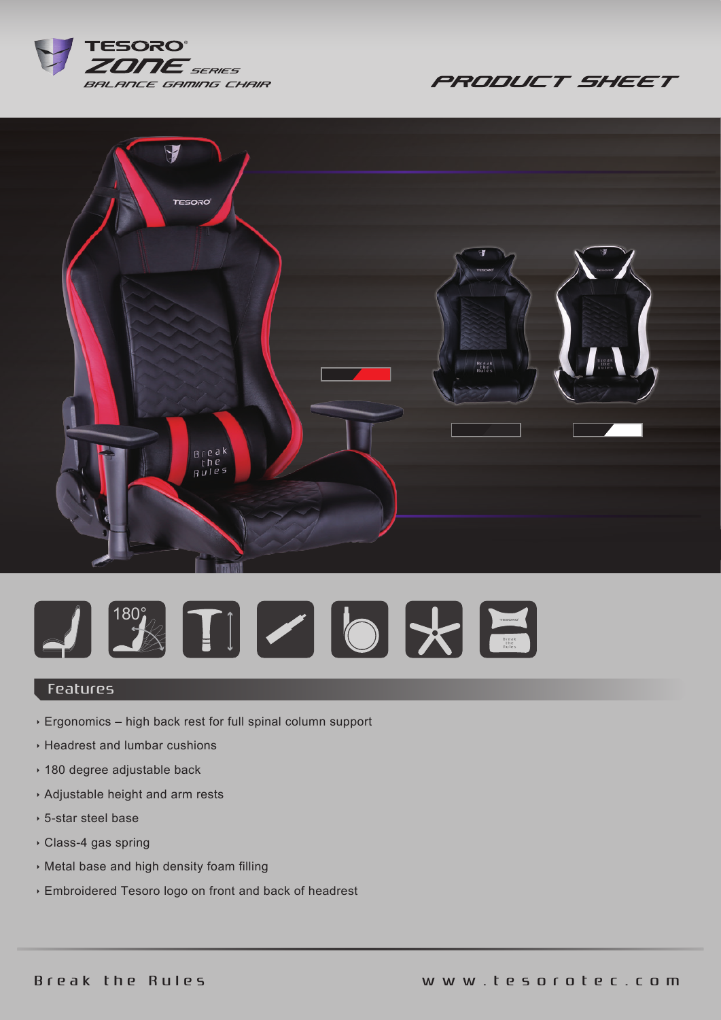

**PRODUCT SHEET** 





## Features

- Ergonomics high back rest for full spinal column support
- Headrest and lumbar cushions
- 180 degree adjustable back
- Adjustable height and arm rests
- 5-star steel base
- Class-4 gas spring
- Metal base and high density foam filling
- Embroidered Tesoro logo on front and back of headrest